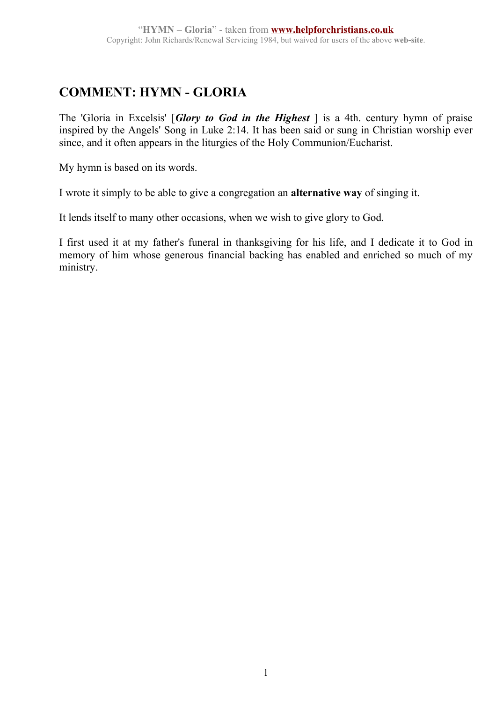## **COMMENT: HYMN - GLORIA**

The 'Gloria in Excelsis' [*Glory to God in the Highest* ] is a 4th. century hymn of praise inspired by the Angels' Song in Luke 2:14. It has been said or sung in Christian worship ever since, and it often appears in the liturgies of the Holy Communion/Eucharist.

My hymn is based on its words.

I wrote it simply to be able to give a congregation an **alternative way** of singing it.

It lends itself to many other occasions, when we wish to give glory to God.

I first used it at my father's funeral in thanksgiving for his life, and I dedicate it to God in memory of him whose generous financial backing has enabled and enriched so much of my ministry.